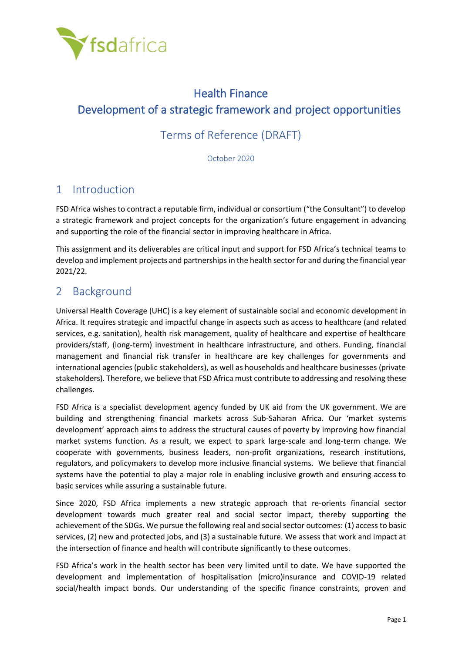

# Health Finance Development of a strategic framework and project opportunities

## Terms of Reference (DRAFT)

October 2020

## 1 Introduction

FSD Africa wishes to contract a reputable firm, individual or consortium ("the Consultant") to develop a strategic framework and project concepts for the organization's future engagement in advancing and supporting the role of the financial sector in improving healthcare in Africa.

This assignment and its deliverables are critical input and support for FSD Africa's technical teams to develop and implement projects and partnerships in the health sector for and during the financial year 2021/22.

### 2 Background

Universal Health Coverage (UHC) is a key element of sustainable social and economic development in Africa. It requires strategic and impactful change in aspects such as access to healthcare (and related services, e.g. sanitation), health risk management, quality of healthcare and expertise of healthcare providers/staff, (long-term) investment in healthcare infrastructure, and others. Funding, financial management and financial risk transfer in healthcare are key challenges for governments and international agencies (public stakeholders), as well as households and healthcare businesses (private stakeholders). Therefore, we believe that FSD Africa must contribute to addressing and resolving these challenges.

FSD Africa is a specialist development agency funded by UK aid from the UK government. We are building and strengthening financial markets across Sub-Saharan Africa. Our 'market systems development' approach aims to address the structural causes of poverty by improving how financial market systems function. As a result, we expect to spark large-scale and long-term change. We cooperate with governments, business leaders, non-profit organizations, research institutions, regulators, and policymakers to develop more inclusive financial systems. We believe that financial systems have the potential to play a major role in enabling inclusive growth and ensuring access to basic services while assuring a sustainable future.

Since 2020, FSD Africa implements a new strategic approach that re-orients financial sector development towards much greater real and social sector impact, thereby supporting the achievement of the SDGs. We pursue the following real and social sector outcomes: (1) access to basic services, (2) new and protected jobs, and (3) a sustainable future. We assess that work and impact at the intersection of finance and health will contribute significantly to these outcomes.

FSD Africa's work in the health sector has been very limited until to date. We have supported the development and implementation of hospitalisation (micro)insurance and COVID-19 related social/health impact bonds. Our understanding of the specific finance constraints, proven and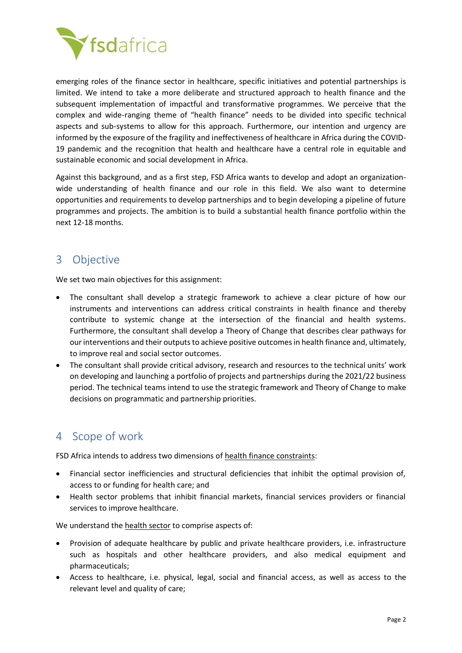

emerging roles of the finance sector in healthcare, specific initiatives and potential partnerships is limited. We intend to take a more deliberate and structured approach to health finance and the subsequent implementation of impactful and transformative programmes. We perceive that the complex and wide-ranging theme of "health finance" needs to be divided into specific technical aspects and sub-systems to allow for this approach. Furthermore, our intention and urgency are informed by the exposure of the fragility and ineffectiveness of healthcare in Africa during the COVID-19 pandemic and the recognition that health and healthcare have a central role in equitable and sustainable economic and social development in Africa.

Against this background, and as a first step, FSD Africa wants to develop and adopt an organizationwide understanding of health finance and our role in this field. We also want to determine opportunities and requirements to develop partnerships and to begin developing a pipeline of future programmes and projects. The ambition is to build a substantial health finance portfolio within the next 12-18 months.

### 3 Objective

We set two main objectives for this assignment:

- The consultant shall develop a strategic framework to achieve a clear picture of how our instruments and interventions can address critical constraints in health finance and thereby contribute to systemic change at the intersection of the financial and health systems. Furthermore, the consultant shall develop a Theory of Change that describes clear pathways for our interventions and their outputs to achieve positive outcomes in health finance and, ultimately, to improve real and social sector outcomes.
- The consultant shall provide critical advisory, research and resources to the technical units' work on developing and launching a portfolio of projects and partnerships during the 2021/22 business period. The technical teams intend to use the strategic framework and Theory of Change to make decisions on programmatic and partnership priorities.

### 4 Scope of work

FSD Africa intends to address two dimensions of health finance constraints:

- Financial sector inefficiencies and structural deficiencies that inhibit the optimal provision of, access to or funding for health care; and
- Health sector problems that inhibit financial markets, financial services providers or financial services to improve healthcare.

We understand the health sector to comprise aspects of:

- Provision of adequate healthcare by public and private healthcare providers, i.e. infrastructure such as hospitals and other healthcare providers, and also medical equipment and pharmaceuticals;
- Access to healthcare, i.e. physical, legal, social and financial access, as well as access to the relevant level and quality of care;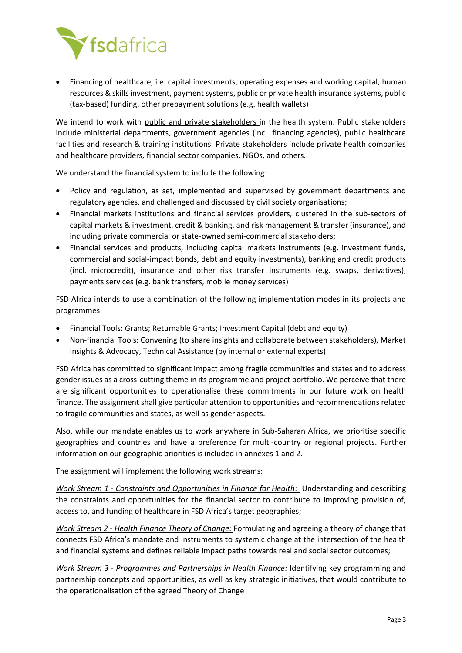

• Financing of healthcare, i.e. capital investments, operating expenses and working capital, human resources & skills investment, payment systems, public or private health insurance systems, public (tax-based) funding, other prepayment solutions (e.g. health wallets)

We intend to work with public and private stakeholders in the health system. Public stakeholders include ministerial departments, government agencies (incl. financing agencies), public healthcare facilities and research & training institutions. Private stakeholders include private health companies and healthcare providers, financial sector companies, NGOs, and others.

We understand the financial system to include the following:

- Policy and regulation, as set, implemented and supervised by government departments and regulatory agencies, and challenged and discussed by civil society organisations;
- Financial markets institutions and financial services providers, clustered in the sub-sectors of capital markets & investment, credit & banking, and risk management & transfer (insurance), and including private commercial or state-owned semi-commercial stakeholders;
- Financial services and products, including capital markets instruments (e.g. investment funds, commercial and social-impact bonds, debt and equity investments), banking and credit products (incl. microcredit), insurance and other risk transfer instruments (e.g. swaps, derivatives), payments services (e.g. bank transfers, mobile money services)

FSD Africa intends to use a combination of the following implementation modes in its projects and programmes:

- Financial Tools: Grants; Returnable Grants; Investment Capital (debt and equity)
- Non-financial Tools: Convening (to share insights and collaborate between stakeholders), Market Insights & Advocacy, Technical Assistance (by internal or external experts)

FSD Africa has committed to significant impact among fragile communities and states and to address gender issues as a cross-cutting theme in its programme and project portfolio. We perceive that there are significant opportunities to operationalise these commitments in our future work on health finance. The assignment shall give particular attention to opportunities and recommendations related to fragile communities and states, as well as gender aspects.

Also, while our mandate enables us to work anywhere in Sub-Saharan Africa, we prioritise specific geographies and countries and have a preference for multi-country or regional projects. Further information on our geographic priorities is included in annexes 1 and 2.

The assignment will implement the following work streams:

*Work Stream 1 - Constraints and Opportunities in Finance for Health:* Understanding and describing the constraints and opportunities for the financial sector to contribute to improving provision of, access to, and funding of healthcare in FSD Africa's target geographies;

*Work Stream 2 - Health Finance Theory of Change:* Formulating and agreeing a theory of change that connects FSD Africa's mandate and instruments to systemic change at the intersection of the health and financial systems and defines reliable impact paths towards real and social sector outcomes;

*Work Stream 3 - Programmes and Partnerships in Health Finance:* Identifying key programming and partnership concepts and opportunities, as well as key strategic initiatives, that would contribute to the operationalisation of the agreed Theory of Change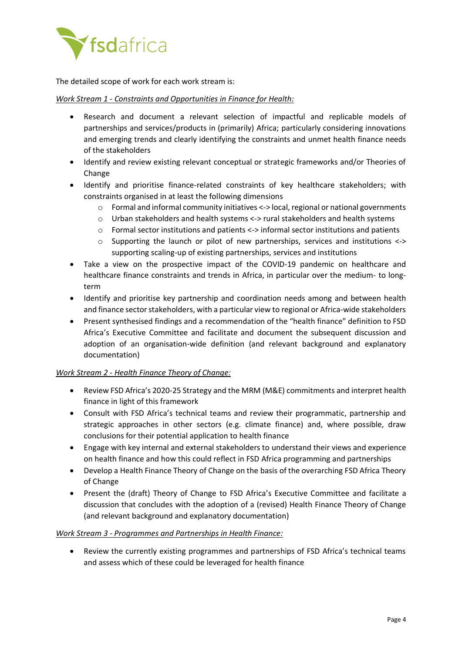

The detailed scope of work for each work stream is:

#### *Work Stream 1 - Constraints and Opportunities in Finance for Health:*

- Research and document a relevant selection of impactful and replicable models of partnerships and services/products in (primarily) Africa; particularly considering innovations and emerging trends and clearly identifying the constraints and unmet health finance needs of the stakeholders
- Identify and review existing relevant conceptual or strategic frameworks and/or Theories of Change
- Identify and prioritise finance-related constraints of key healthcare stakeholders; with constraints organised in at least the following dimensions
	- o Formal and informal community initiatives <-> local, regional or national governments
	- $\circ$  Urban stakeholders and health systems <-> rural stakeholders and health systems
	- o Formal sector institutions and patients <-> informal sector institutions and patients
	- o Supporting the launch or pilot of new partnerships, services and institutions <-> supporting scaling-up of existing partnerships, services and institutions
- Take a view on the prospective impact of the COVID-19 pandemic on healthcare and healthcare finance constraints and trends in Africa, in particular over the medium- to longterm
- Identify and prioritise key partnership and coordination needs among and between health and finance sector stakeholders, with a particular view to regional or Africa-wide stakeholders
- Present synthesised findings and a recommendation of the "health finance" definition to FSD Africa's Executive Committee and facilitate and document the subsequent discussion and adoption of an organisation-wide definition (and relevant background and explanatory documentation)

### *Work Stream 2 - Health Finance Theory of Change:*

- Review FSD Africa's 2020-25 Strategy and the MRM (M&E) commitments and interpret health finance in light of this framework
- Consult with FSD Africa's technical teams and review their programmatic, partnership and strategic approaches in other sectors (e.g. climate finance) and, where possible, draw conclusions for their potential application to health finance
- Engage with key internal and external stakeholders to understand their views and experience on health finance and how this could reflect in FSD Africa programming and partnerships
- Develop a Health Finance Theory of Change on the basis of the overarching FSD Africa Theory of Change
- Present the (draft) Theory of Change to FSD Africa's Executive Committee and facilitate a discussion that concludes with the adoption of a (revised) Health Finance Theory of Change (and relevant background and explanatory documentation)

### *Work Stream 3 - Programmes and Partnerships in Health Finance:*

• Review the currently existing programmes and partnerships of FSD Africa's technical teams and assess which of these could be leveraged for health finance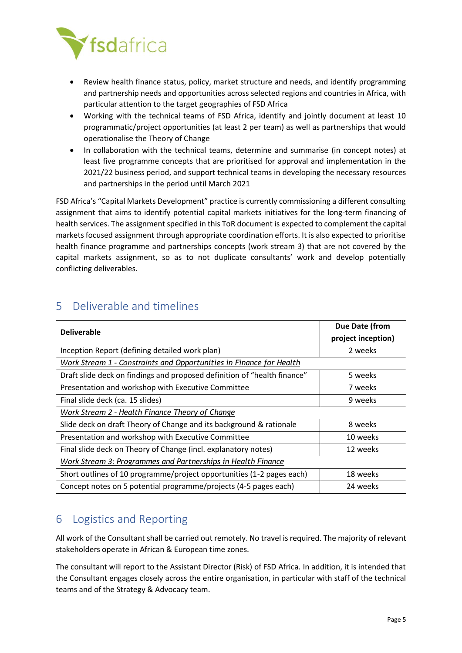

- Review health finance status, policy, market structure and needs, and identify programming and partnership needs and opportunities across selected regions and countries in Africa, with particular attention to the target geographies of FSD Africa
- Working with the technical teams of FSD Africa, identify and jointly document at least 10 programmatic/project opportunities (at least 2 per team) as well as partnerships that would operationalise the Theory of Change
- In collaboration with the technical teams, determine and summarise (in concept notes) at least five programme concepts that are prioritised for approval and implementation in the 2021/22 business period, and support technical teams in developing the necessary resources and partnerships in the period until March 2021

FSD Africa's "Capital Markets Development" practice is currently commissioning a different consulting assignment that aims to identify potential capital markets initiatives for the long-term financing of health services. The assignment specified in this ToR document is expected to complement the capital markets focused assignment through appropriate coordination efforts. It is also expected to prioritise health finance programme and partnerships concepts (work stream 3) that are not covered by the capital markets assignment, so as to not duplicate consultants' work and develop potentially conflicting deliverables.

| <b>Deliverable</b>                                                       | Due Date (from     |
|--------------------------------------------------------------------------|--------------------|
|                                                                          | project inception) |
| Inception Report (defining detailed work plan)                           | 2 weeks            |
| Work Stream 1 - Constraints and Opportunities in Finance for Health      |                    |
| Draft slide deck on findings and proposed definition of "health finance" | 5 weeks            |
| Presentation and workshop with Executive Committee                       | 7 weeks            |
| Final slide deck (ca. 15 slides)                                         | 9 weeks            |
| Work Stream 2 - Health Finance Theory of Change                          |                    |
| Slide deck on draft Theory of Change and its background & rationale      | 8 weeks            |
| Presentation and workshop with Executive Committee                       | 10 weeks           |
| Final slide deck on Theory of Change (incl. explanatory notes)           | 12 weeks           |
| Work Stream 3: Programmes and Partnerships in Health Finance             |                    |
| Short outlines of 10 programme/project opportunities (1-2 pages each)    | 18 weeks           |
| Concept notes on 5 potential programme/projects (4-5 pages each)         | 24 weeks           |

# 5 Deliverable and timelines

# 6 Logistics and Reporting

All work of the Consultant shall be carried out remotely. No travel is required. The majority of relevant stakeholders operate in African & European time zones.

The consultant will report to the Assistant Director (Risk) of FSD Africa. In addition, it is intended that the Consultant engages closely across the entire organisation, in particular with staff of the technical teams and of the Strategy & Advocacy team.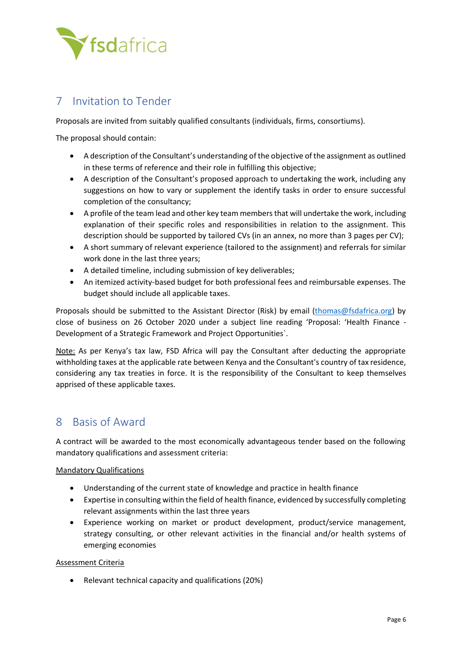

### 7 Invitation to Tender

Proposals are invited from suitably qualified consultants (individuals, firms, consortiums).

The proposal should contain:

- A description of the Consultant's understanding of the objective of the assignment as outlined in these terms of reference and their role in fulfilling this objective;
- A description of the Consultant's proposed approach to undertaking the work, including any suggestions on how to vary or supplement the identify tasks in order to ensure successful completion of the consultancy;
- A profile of the team lead and other key team members that will undertake the work, including explanation of their specific roles and responsibilities in relation to the assignment. This description should be supported by tailored CVs (in an annex, no more than 3 pages per CV);
- A short summary of relevant experience (tailored to the assignment) and referrals for similar work done in the last three years;
- A detailed timeline, including submission of key deliverables;
- An itemized activity-based budget for both professional fees and reimbursable expenses. The budget should include all applicable taxes.

Proposals should be submitted to the Assistant Director (Risk) by email [\(thomas@fsdafrica.org\)](mailto:thomas@fsdafrica.org) by close of business on 26 October 2020 under a subject line reading 'Proposal: 'Health Finance - Development of a Strategic Framework and Project Opportunities`.

Note: As per Kenya's tax law, FSD Africa will pay the Consultant after deducting the appropriate withholding taxes at the applicable rate between Kenya and the Consultant's country of tax residence, considering any tax treaties in force. It is the responsibility of the Consultant to keep themselves apprised of these applicable taxes.

### 8 Basis of Award

A contract will be awarded to the most economically advantageous tender based on the following mandatory qualifications and assessment criteria:

### Mandatory Qualifications

- Understanding of the current state of knowledge and practice in health finance
- Expertise in consulting within the field of health finance, evidenced by successfully completing relevant assignments within the last three years
- Experience working on market or product development, product/service management, strategy consulting, or other relevant activities in the financial and/or health systems of emerging economies

### Assessment Criteria

• Relevant technical capacity and qualifications (20%)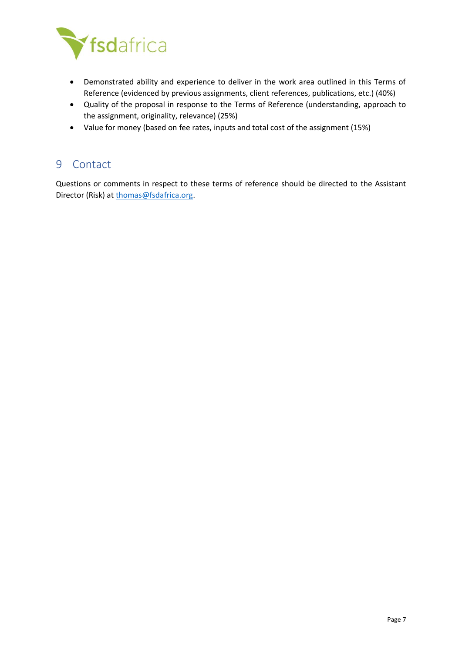

- Demonstrated ability and experience to deliver in the work area outlined in this Terms of Reference (evidenced by previous assignments, client references, publications, etc.) (40%)
- Quality of the proposal in response to the Terms of Reference (understanding, approach to the assignment, originality, relevance) (25%)
- Value for money (based on fee rates, inputs and total cost of the assignment (15%)

### 9 Contact

Questions or comments in respect to these terms of reference should be directed to the Assistant Director (Risk) at [thomas@fsdafrica.org.](mailto:thomas@fsdafrica.org)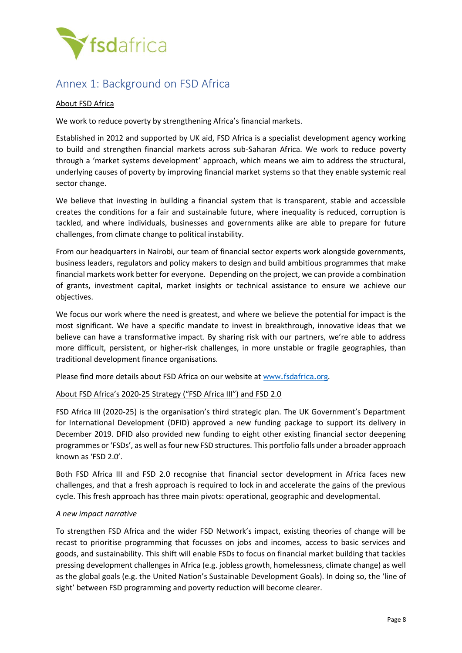

### Annex 1: Background on FSD Africa

#### About FSD Africa

We work to reduce poverty by strengthening Africa's financial markets.

Established in 2012 and supported by UK aid, FSD Africa is a specialist development agency working to build and strengthen financial markets across sub-Saharan Africa. We work to reduce poverty through a 'market systems development' approach, which means we aim to address the structural, underlying causes of poverty by improving financial market systems so that they enable systemic real sector change.

We believe that investing in building a financial system that is transparent, stable and accessible creates the conditions for a fair and sustainable future, where inequality is reduced, corruption is tackled, and where individuals, businesses and governments alike are able to prepare for future challenges, from climate change to political instability.

From our headquarters in Nairobi, our team of financial sector experts work alongside governments, business leaders, regulators and policy makers to design and build ambitious programmes that make financial markets work better for everyone. Depending on the project, we can provide a combination of grants, investment capital, market insights or technical assistance to ensure we achieve our objectives.

We focus our work where the need is greatest, and where we believe the potential for impact is the most significant. We have a specific mandate to invest in breakthrough, innovative ideas that we believe can have a transformative impact. By sharing risk with our partners, we're able to address more difficult, persistent, or higher-risk challenges, in more unstable or fragile geographies, than traditional development finance organisations.

Please find more details about FSD Africa on our website at [www.fsdafrica.org](http://www.fsdafrica.org/).

#### About FSD Africa's 2020-25 Strategy ("FSD Africa III") and FSD 2.0

FSD Africa III (2020-25) is the organisation's third strategic plan. The UK Government's Department for International Development (DFID) approved a new funding package to support its delivery in December 2019. DFID also provided new funding to eight other existing financial sector deepening programmes or 'FSDs', as well as four new FSD structures. This portfolio falls under a broader approach known as 'FSD 2.0'.

Both FSD Africa III and FSD 2.0 recognise that financial sector development in Africa faces new challenges, and that a fresh approach is required to lock in and accelerate the gains of the previous cycle. This fresh approach has three main pivots: operational, geographic and developmental.

#### *A new impact narrative*

To strengthen FSD Africa and the wider FSD Network's impact, existing theories of change will be recast to prioritise programming that focusses on jobs and incomes, access to basic services and goods, and sustainability. This shift will enable FSDs to focus on financial market building that tackles pressing development challenges in Africa (e.g. jobless growth, homelessness, climate change) as well as the global goals (e.g. the United Nation's Sustainable Development Goals). In doing so, the 'line of sight' between FSD programming and poverty reduction will become clearer.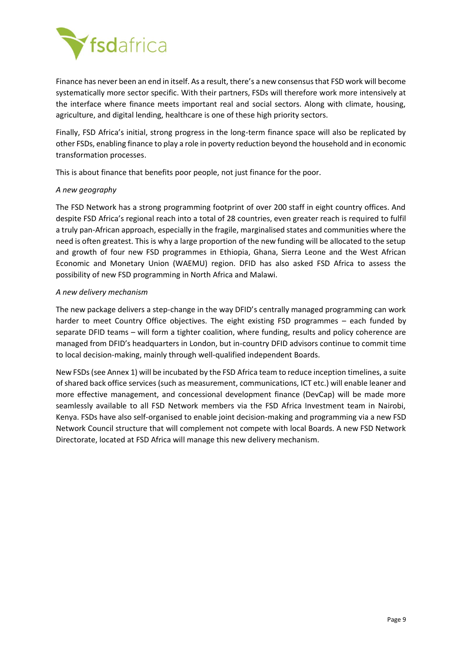

Finance has never been an end in itself. As a result, there's a new consensus that FSD work will become systematically more sector specific. With their partners, FSDs will therefore work more intensively at the interface where finance meets important real and social sectors. Along with climate, housing, agriculture, and digital lending, healthcare is one of these high priority sectors.

Finally, FSD Africa's initial, strong progress in the long-term finance space will also be replicated by other FSDs, enabling finance to play a role in poverty reduction beyond the household and in economic transformation processes.

This is about finance that benefits poor people, not just finance for the poor.

#### *A new geography*

The FSD Network has a strong programming footprint of over 200 staff in eight country offices. And despite FSD Africa's regional reach into a total of 28 countries, even greater reach is required to fulfil a truly pan-African approach, especially in the fragile, marginalised states and communities where the need is often greatest. This is why a large proportion of the new funding will be allocated to the setup and growth of four new FSD programmes in Ethiopia, Ghana, Sierra Leone and the West African Economic and Monetary Union (WAEMU) region. DFID has also asked FSD Africa to assess the possibility of new FSD programming in North Africa and Malawi.

#### *A new delivery mechanism*

The new package delivers a step-change in the way DFID's centrally managed programming can work harder to meet Country Office objectives. The eight existing FSD programmes – each funded by separate DFID teams – will form a tighter coalition, where funding, results and policy coherence are managed from DFID's headquarters in London, but in-country DFID advisors continue to commit time to local decision-making, mainly through well-qualified independent Boards.

New FSDs (see Annex 1) will be incubated by the FSD Africa team to reduce inception timelines, a suite of shared back office services (such as measurement, communications, ICT etc.) will enable leaner and more effective management, and concessional development finance (DevCap) will be made more seamlessly available to all FSD Network members via the FSD Africa Investment team in Nairobi, Kenya. FSDs have also self-organised to enable joint decision-making and programming via a new FSD Network Council structure that will complement not compete with local Boards. A new FSD Network Directorate, located at FSD Africa will manage this new delivery mechanism.